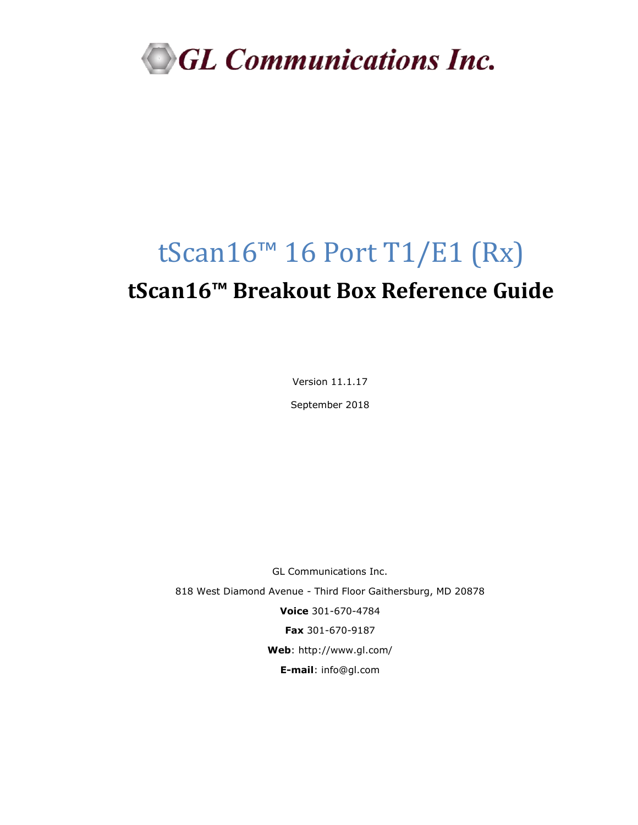

# tScan16™ 16 Port T1/E1 (Rx) **tScan16™ Breakout Box Reference Guide**

Version 11.1.17

September 2018

GL Communications Inc. 818 West Diamond Avenue - Third Floor Gaithersburg, MD 20878 **Voice** 301-670-4784 **Fax** 301-670-9187 **Web**:<http://www.gl.com/> **E-mail**: [info@gl.com](mailto:info@gl.com)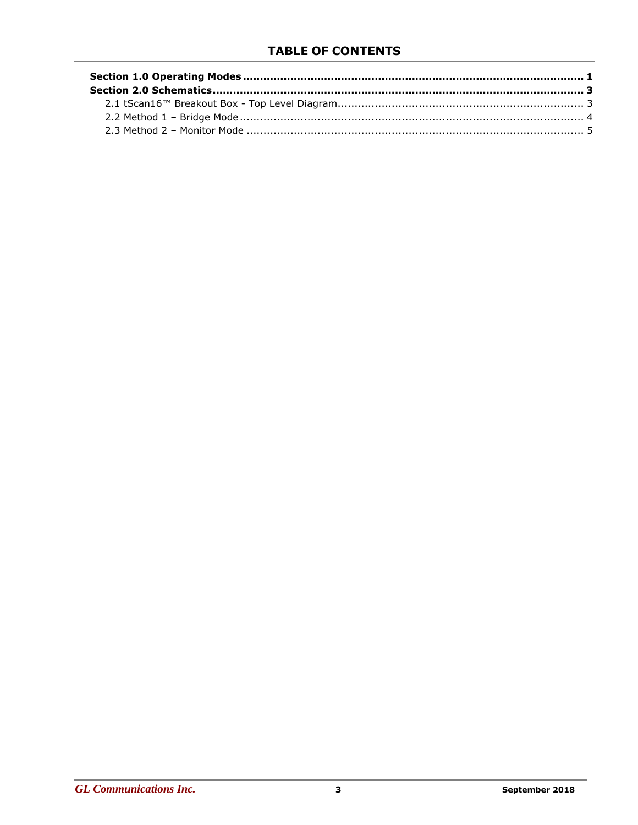# **TABLE OF CONTENTS**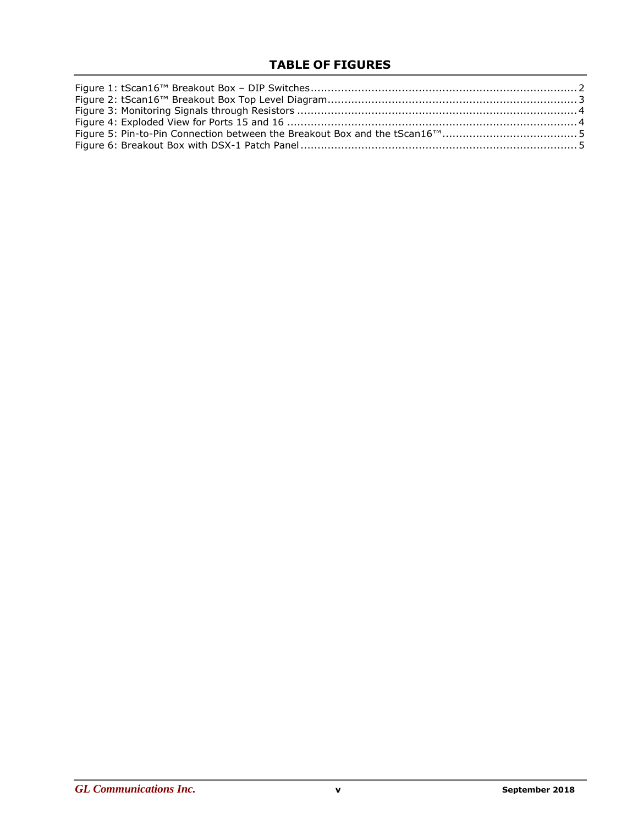# **TABLE OF FIGURES**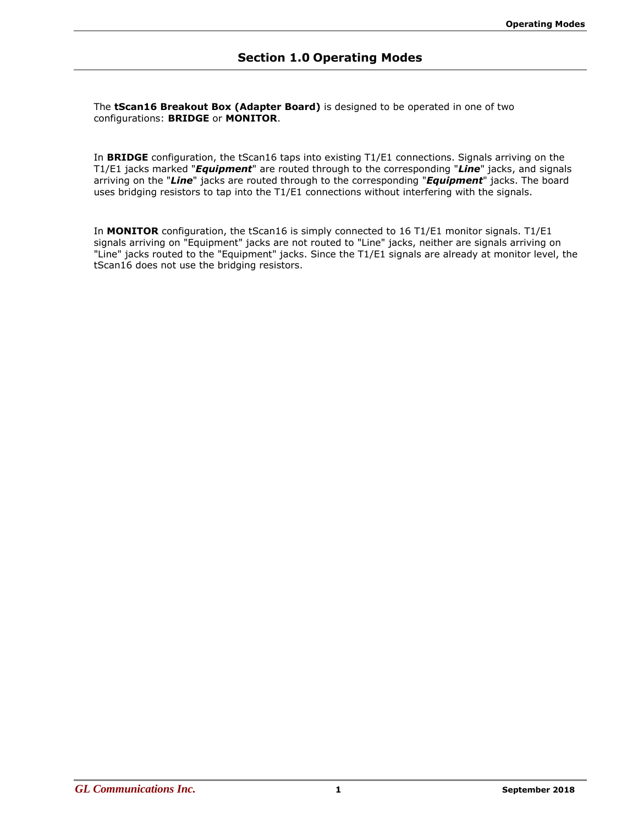<span id="page-5-0"></span>The **tScan16 Breakout Box (Adapter Board)** is designed to be operated in one of two configurations: **BRIDGE** or **MONITOR**.

In **BRIDGE** configuration, the tScan16 taps into existing T1/E1 connections. Signals arriving on the T1/E1 jacks marked "*Equipment*" are routed through to the corresponding "*Line*" jacks, and signals arriving on the "*Line*" jacks are routed through to the corresponding "*Equipment*" jacks. The board uses bridging resistors to tap into the T1/E1 connections without interfering with the signals.

In **MONITOR** configuration, the tScan16 is simply connected to 16 T1/E1 monitor signals. T1/E1 signals arriving on "Equipment" jacks are not routed to "Line" jacks, neither are signals arriving on "Line" jacks routed to the "Equipment" jacks. Since the T1/E1 signals are already at monitor level, the tScan16 does not use the bridging resistors.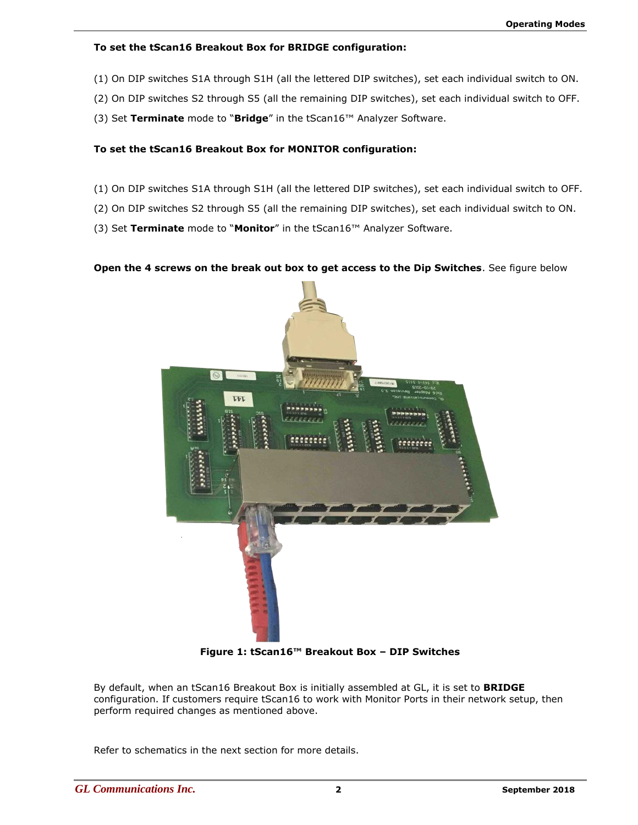## **To set the tScan16 Breakout Box for BRIDGE configuration:**

- (1) On DIP switches S1A through S1H (all the lettered DIP switches), set each individual switch to ON.
- (2) On DIP switches S2 through S5 (all the remaining DIP switches), set each individual switch to OFF.
- (3) Set **Terminate** mode to "**Bridge**" in the tScan16™ Analyzer Software.

## **To set the tScan16 Breakout Box for MONITOR configuration:**

- (1) On DIP switches S1A through S1H (all the lettered DIP switches), set each individual switch to OFF.
- (2) On DIP switches S2 through S5 (all the remaining DIP switches), set each individual switch to ON.

(3) Set **Terminate** mode to "**Monitor**" in the tScan16™ Analyzer Software.

#### **Open the 4 screws on the break out box to get access to the Dip Switches**. See figure below



**Figure 1: tScan16™ Breakout Box – DIP Switches**

<span id="page-6-0"></span>By default, when an tScan16 Breakout Box is initially assembled at GL, it is set to **BRIDGE** configuration. If customers require tScan16 to work with Monitor Ports in their network setup, then perform required changes as mentioned above.

Refer to schematics in the next section for more details.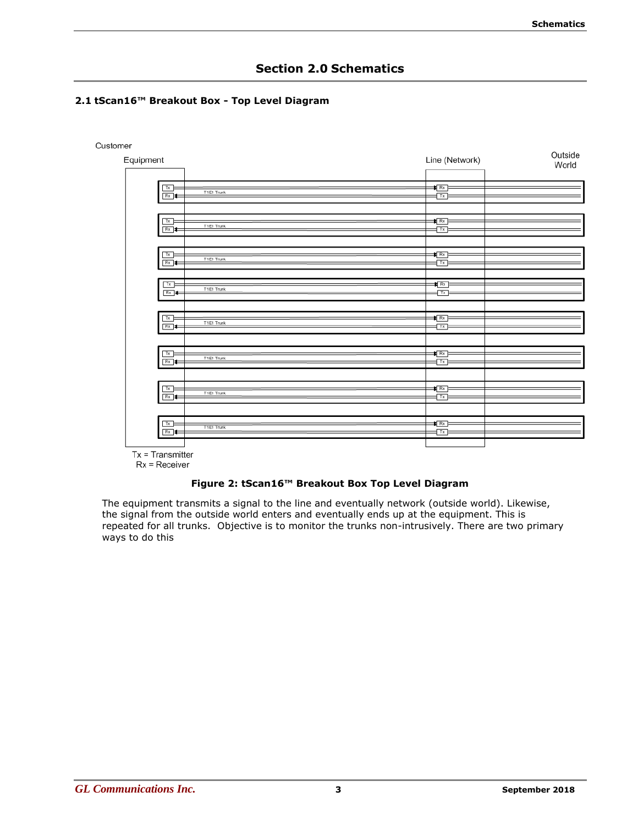# **Section 2.0 Schematics**

# <span id="page-7-1"></span><span id="page-7-0"></span>**2.1 tScan16™ Breakout Box - Top Level Diagram**



 $Tx = Transmitter$ 

 $Rx = Receiver$ 

#### **Figure 2: tScan16™ Breakout Box Top Level Diagram**

<span id="page-7-2"></span>The equipment transmits a signal to the line and eventually network (outside world). Likewise, the signal from the outside world enters and eventually ends up at the equipment. This is repeated for all trunks. Objective is to monitor the trunks non-intrusively. There are two primary ways to do this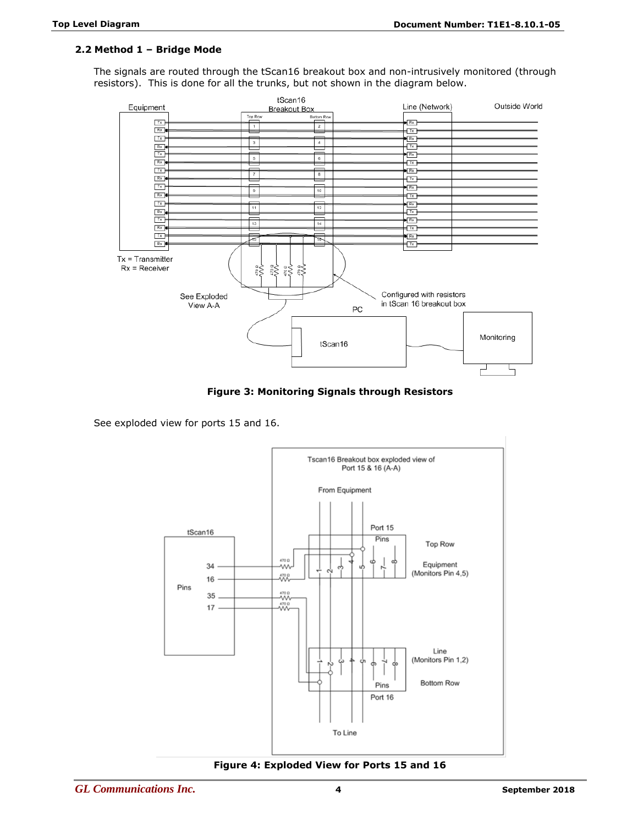## <span id="page-8-0"></span>**2.2 Method 1 – Bridge Mode**

The signals are routed through the tScan16 breakout box and non-intrusively monitored (through resistors). This is done for all the trunks, but not shown in the diagram below.



**Figure 3: Monitoring Signals through Resistors**

<span id="page-8-1"></span>See exploded view for ports 15 and 16.



<span id="page-8-2"></span>**Figure 4: Exploded View for Ports 15 and 16**